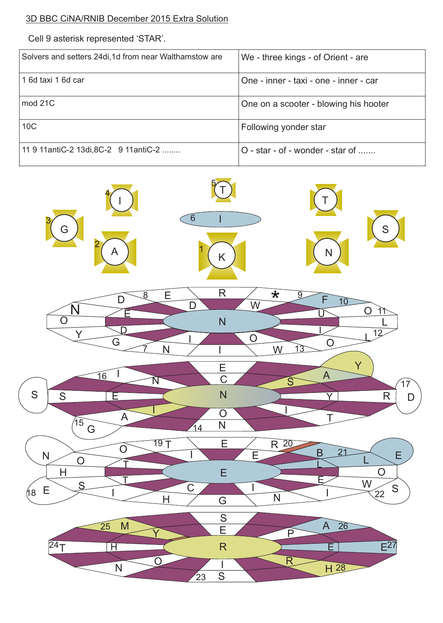## 3D BBC CiNA/RNIB December 2015 Extra Solution

Cell 9 asterisk represented 'STAR'.

| Solvers and setters 24di, 1d from near Walthamstow are | We - three kings - of Orient - are     |  |
|--------------------------------------------------------|----------------------------------------|--|
| 1 6d taxi 1 6d car                                     | One - inner - taxi - one - inner - car |  |
| mod 21C                                                | One on a scooter - blowing his hooter  |  |
| 10 <sub>C</sub>                                        | Following yonder star                  |  |
| 11 9 11 antiC-2 13 di, 8 C-2 9 11 antiC-2              | O - star - of - wonder - star of       |  |